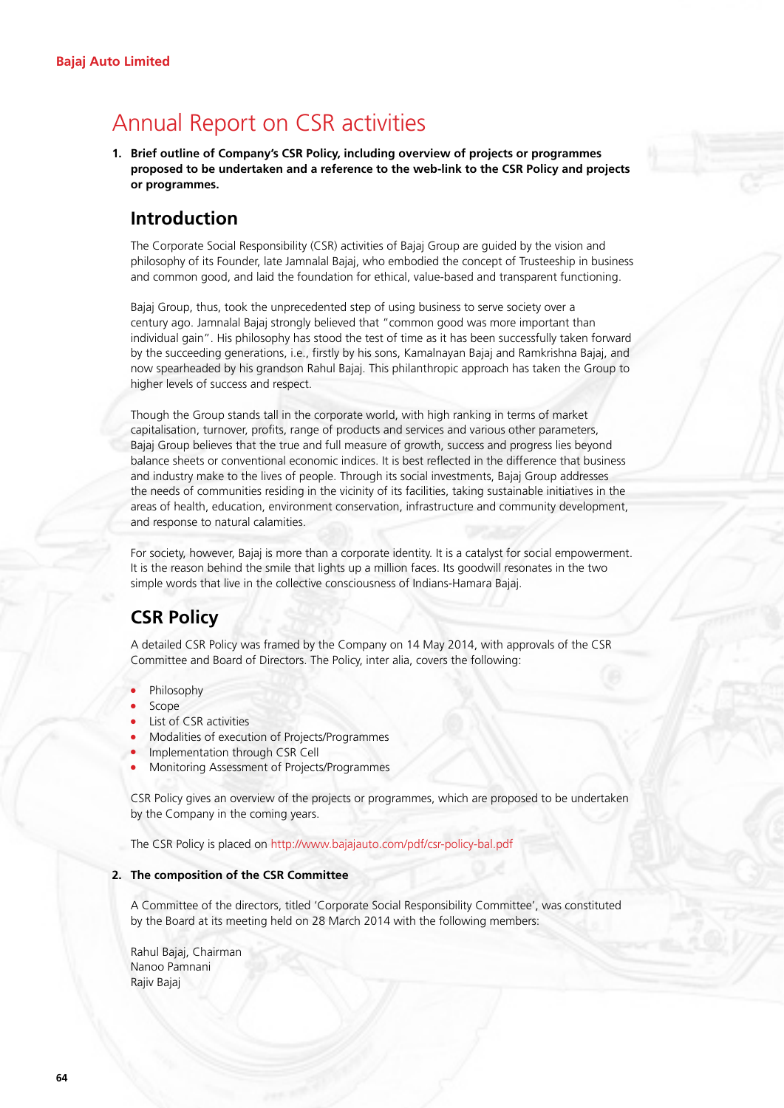# Annual Report on CSR activities

**1. Brief outline of Company's CSR Policy, including overview of projects or programmes proposed to be undertaken and a reference to the web-link to the CSR Policy and projects or programmes.** 

# **Introduction**

 The Corporate Social Responsibility (CSR) activities of Bajaj Group are guided by the vision and philosophy of its Founder, late Jamnalal Bajaj, who embodied the concept of Trusteeship in business and common good, and laid the foundation for ethical, value-based and transparent functioning.

 Bajaj Group, thus, took the unprecedented step of using business to serve society over a century ago. Jamnalal Bajaj strongly believed that "common good was more important than individual gain". His philosophy has stood the test of time as it has been successfully taken forward by the succeeding generations, i.e., firstly by his sons, Kamalnayan Bajaj and Ramkrishna Bajaj, and now spearheaded by his grandson Rahul Bajaj. This philanthropic approach has taken the Group to higher levels of success and respect.

 Though the Group stands tall in the corporate world, with high ranking in terms of market capitalisation, turnover, profits, range of products and services and various other parameters, Bajaj Group believes that the true and full measure of growth, success and progress lies beyond balance sheets or conventional economic indices. It is best reflected in the difference that business and industry make to the lives of people. Through its social investments, Bajaj Group addresses the needs of communities residing in the vicinity of its facilities, taking sustainable initiatives in the areas of health, education, environment conservation, infrastructure and community development, and response to natural calamities.

 For society, however, Bajaj is more than a corporate identity. It is a catalyst for social empowerment. It is the reason behind the smile that lights up a million faces. Its goodwill resonates in the two simple words that live in the collective consciousness of Indians-Hamara Bajaj.

# **CSR Policy**

 A detailed CSR Policy was framed by the Company on 14 May 2014, with approvals of the CSR Committee and Board of Directors. The Policy, inter alia, covers the following:

- Philosophy
- Scope
- List of CSR activities
- <sup>l</sup> Modalities of execution of Projects/Programmes
- <sup>l</sup> Implementation through CSR Cell
- <sup>l</sup> Monitoring Assessment of Projects/Programmes

 CSR Policy gives an overview of the projects or programmes, which are proposed to be undertaken by the Company in the coming years.

The CSR Policy is placed on http://www.bajajauto.com/pdf/csr-policy-bal.pdf

#### **2. The composition of the CSR Committee**

 A Committee of the directors, titled 'Corporate Social Responsibility Committee', was constituted by the Board at its meeting held on 28 March 2014 with the following members:

Rahul Bajaj, Chairman Nanoo Pamnani Rajiv Bajaj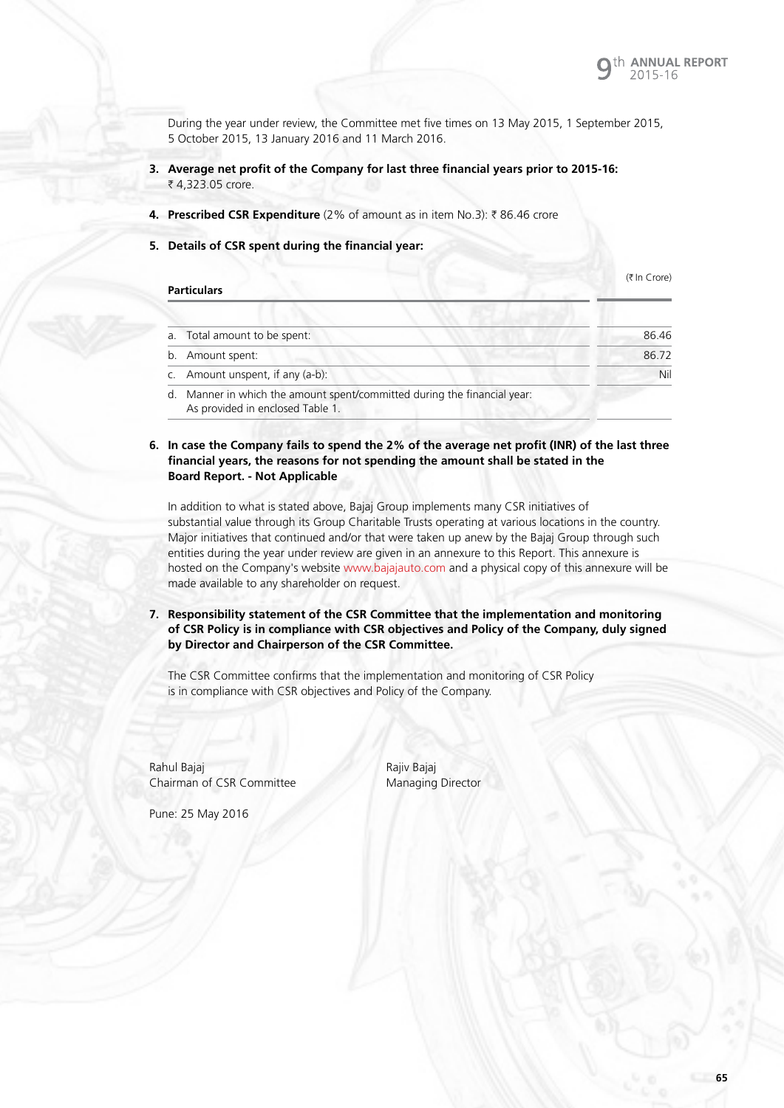During the year under review, the Committee met five times on 13 May 2015, 1 September 2015, 5 October 2015, 13 January 2016 and 11 March 2016.

- **3. Average net profit of the Company for last three financial years prior to 2015-16:**  ₹ 4,323.05 crore.
- **4. Prescribed CSR Expenditure** (2% of amount as in item No.3): ₹86.46 crore
- **5. Details of CSR spent during the financial year:**

|                | <b>Particulars</b>                                                                                           | $(7 \ln C)$ |
|----------------|--------------------------------------------------------------------------------------------------------------|-------------|
|                |                                                                                                              |             |
|                | a. Total amount to be spent:                                                                                 | 86.46       |
|                | b. Amount spent:                                                                                             | 86.72       |
| $\mathsf{C}$ . | Amount unspent, if any (a-b):                                                                                | Nil         |
|                | d. Manner in which the amount spent/committed during the financial year:<br>As provided in enclosed Table 1. |             |

#### **6. In case the Company fails to spend the 2% of the average net profit (INR) of the last three financial years, the reasons for not spending the amount shall be stated in the Board Report. - Not Applicable**

 In addition to what is stated above, Bajaj Group implements many CSR initiatives of substantial value through its Group Charitable Trusts operating at various locations in the country. Major initiatives that continued and/or that were taken up anew by the Bajaj Group through such entities during the year under review are given in an annexure to this Report. This annexure is hosted on the Company's website www.bajajauto.com and a physical copy of this annexure will be made available to any shareholder on request.

**7. Responsibility statement of the CSR Committee that the implementation and monitoring of CSR Policy is in compliance with CSR objectives and Policy of the Company, duly signed by Director and Chairperson of the CSR Committee.** 

 The CSR Committee confirms that the implementation and monitoring of CSR Policy is in compliance with CSR objectives and Policy of the Company.

Rahul Bajaj **Rajiv Bajaj** Rajiv Bajaj Chairman of CSR Committee Managing Director

Pune: 25 May 2016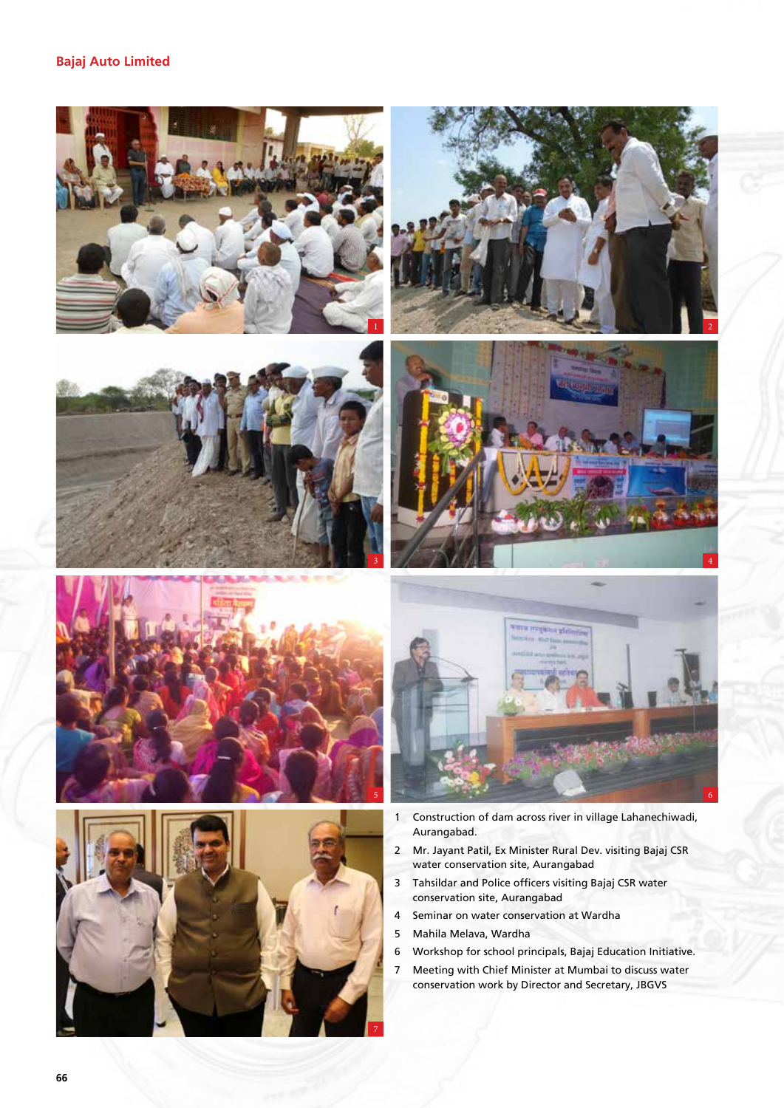



- 2 Mr. Jayant Patil, Ex Minister Rural Dev. visiting Bajaj CSR water conservation site, Aurangabad
- 3 Tahsildar and Police officers visiting Bajaj CSR water conservation site, Aurangabad
- 4 Seminar on water conservation at Wardha
- 5 Mahila Melava, Wardha
- 6 Workshop for school principals, Bajaj Education Initiative.
- 7 Meeting with Chief Minister at Mumbai to discuss water conservation work by Director and Secretary, JBGVS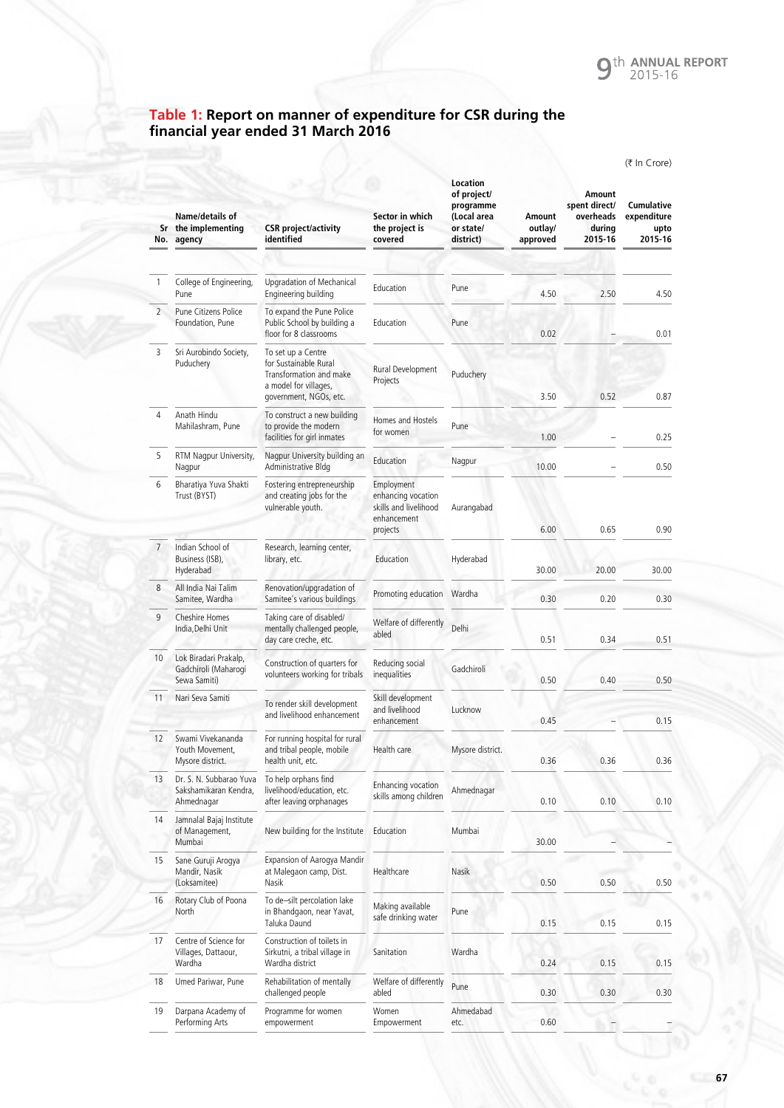### **Table 1: Report on manner of expenditure for CSR during the financial year ended 31 March 2016**

|                |                                                                |                                                                                                                           |                                                                                      |                                                                               |                               |                                                           | (₹ In Crore)                                 |
|----------------|----------------------------------------------------------------|---------------------------------------------------------------------------------------------------------------------------|--------------------------------------------------------------------------------------|-------------------------------------------------------------------------------|-------------------------------|-----------------------------------------------------------|----------------------------------------------|
| No.            | Name/details of<br>Sr the implementing<br>agency               | <b>CSR</b> project/activity<br>identified                                                                                 | Sector in which<br>the project is<br>covered                                         | Location<br>of project/<br>programme<br>(Local area<br>or state/<br>district) | Amount<br>outlay/<br>approved | Amount<br>spent direct/<br>overheads<br>durina<br>2015-16 | Cumulative<br>expenditure<br>upto<br>2015-16 |
|                |                                                                |                                                                                                                           |                                                                                      |                                                                               |                               |                                                           |                                              |
| 1              | College of Engineering,<br>Pune                                | Upgradation of Mechanical<br>Engineering building                                                                         | Education                                                                            | Pune                                                                          | 4.50                          | 2.50                                                      | 4.50                                         |
| $\overline{2}$ | Pune Citizens Police<br>Foundation, Pune                       | To expand the Pune Police<br>Public School by building a<br>floor for 8 classrooms                                        | Education                                                                            | Pune                                                                          | 0.02                          |                                                           | 0.01                                         |
| 3              | Sri Aurobindo Society,<br>Puduchery                            | To set up a Centre<br>for Sustainable Rural<br>Transformation and make<br>a model for villages,<br>government, NGOs, etc. | Rural Development<br>Projects                                                        | Puduchery                                                                     | 3.50                          | 0.52                                                      | 0.87                                         |
| 4              | Anath Hindu<br>Mahilashram, Pune                               | To construct a new building<br>to provide the modern                                                                      | Homes and Hostels<br>for women                                                       | Pune                                                                          |                               |                                                           |                                              |
|                |                                                                | facilities for girl inmates                                                                                               |                                                                                      |                                                                               | 1.00                          |                                                           | 0.25                                         |
| 5              | RTM Nagpur University,<br>Nagpur                               | Nagpur University building an<br>Administrative Bldg                                                                      | Education                                                                            | Nagpur                                                                        | 10.00                         |                                                           | 0.50                                         |
| 6              | Bharatiya Yuva Shakti<br>Trust (BYST)                          | Fostering entrepreneurship<br>and creating jobs for the<br>vulnerable youth.                                              | Employment<br>enhancing vocation<br>skills and livelihood<br>enhancement<br>projects | Aurangabad                                                                    | 6.00                          | 0.65                                                      | 0.90                                         |
| 7 <sup>1</sup> | Indian School of<br>Business (ISB),<br>Hyderabad               | Research, learning center,<br>library, etc.                                                                               | Education                                                                            | Hyderabad                                                                     | 30.00                         | 20.00                                                     | 30.00                                        |
| 8              | All India Nai Talim<br>Samitee, Wardha                         | Renovation/upgradation of<br>Samitee's various buildings                                                                  | Promoting education                                                                  | Wardha                                                                        | 0.30                          | 0.20                                                      | 0.30                                         |
| 9              | Cheshire Homes<br>India, Delhi Unit                            | Taking care of disabled/<br>mentally challenged people,<br>day care creche, etc.                                          | Welfare of differently<br>abled                                                      | Delhi                                                                         | 0.51                          | 0.34                                                      | 0.51                                         |
| 10             | Lok Biradari Prakalp,<br>Gadchiroli (Maharogi<br>Sewa Samiti)  | Construction of quarters for<br>volunteers working for tribals                                                            | Reducing social<br>inequalities                                                      | Gadchiroli                                                                    | 0.50                          | 0.40                                                      | 0.50                                         |
| 11             | Nari Seva Samiti                                               | To render skill development<br>and livelihood enhancement                                                                 | Skill development<br>and livelihood<br>enhancement                                   | Lucknow                                                                       | 0.45                          |                                                           | 0.15                                         |
| 12             | Swami Vivekananda<br>Youth Movement,<br>Mysore district.       | For running hospital for rural<br>and tribal people, mobile<br>health unit, etc.                                          | Health care                                                                          | Mysore district.                                                              | 0.36                          | 0.36                                                      | 0.36                                         |
| 13             | Dr. S. N. Subbarao Yuva<br>Sakshamikaran Kendra,<br>Ahmednagar | To help orphans find<br>livelihood/education, etc.<br>after leaving orphanages                                            | Enhancing vocation<br>skills among children                                          | Ahmednagar                                                                    | 0.10                          | 0.10                                                      | 0.10                                         |
| 14             | Jamnalal Bajaj Institute<br>of Management,<br>Mumbai           | New building for the Institute                                                                                            | Education                                                                            | Mumbai                                                                        | 30.00                         |                                                           |                                              |
| 15             | Sane Guruji Arogya<br>Mandir, Nasik<br>(Loksamitee)            | Expansion of Aarogya Mandir<br>at Malegaon camp, Dist.<br>Nasik                                                           | Healthcare                                                                           | Nasik                                                                         | 0.50                          | 0.50                                                      | 0.50                                         |
| 16             | Rotary Club of Poona<br>North                                  | To de-silt percolation lake<br>in Bhandgaon, near Yavat,<br>Taluka Daund                                                  | Making available<br>safe drinking water                                              | Pune                                                                          | 0.15                          | 0.15                                                      | 0.15                                         |
| 17             | Centre of Science for<br>Villages, Dattaour,<br>Wardha         | Construction of toilets in<br>Sirkutni, a tribal village in<br>Wardha district                                            | Sanitation                                                                           | Wardha                                                                        | 0.24                          | 0.15                                                      | 0.15                                         |
| 18             | Umed Pariwar, Pune                                             | Rehabilitation of mentally<br>challenged people                                                                           | Welfare of differently<br>abled                                                      | Pune                                                                          | 0.30                          | 0.30                                                      | 0.30                                         |
| 19             | Darpana Academy of<br>Performing Arts                          | Programme for women<br>empowerment                                                                                        | Women<br>Empowerment                                                                 | Ahmedabad<br>etc.                                                             | 0.60                          |                                                           |                                              |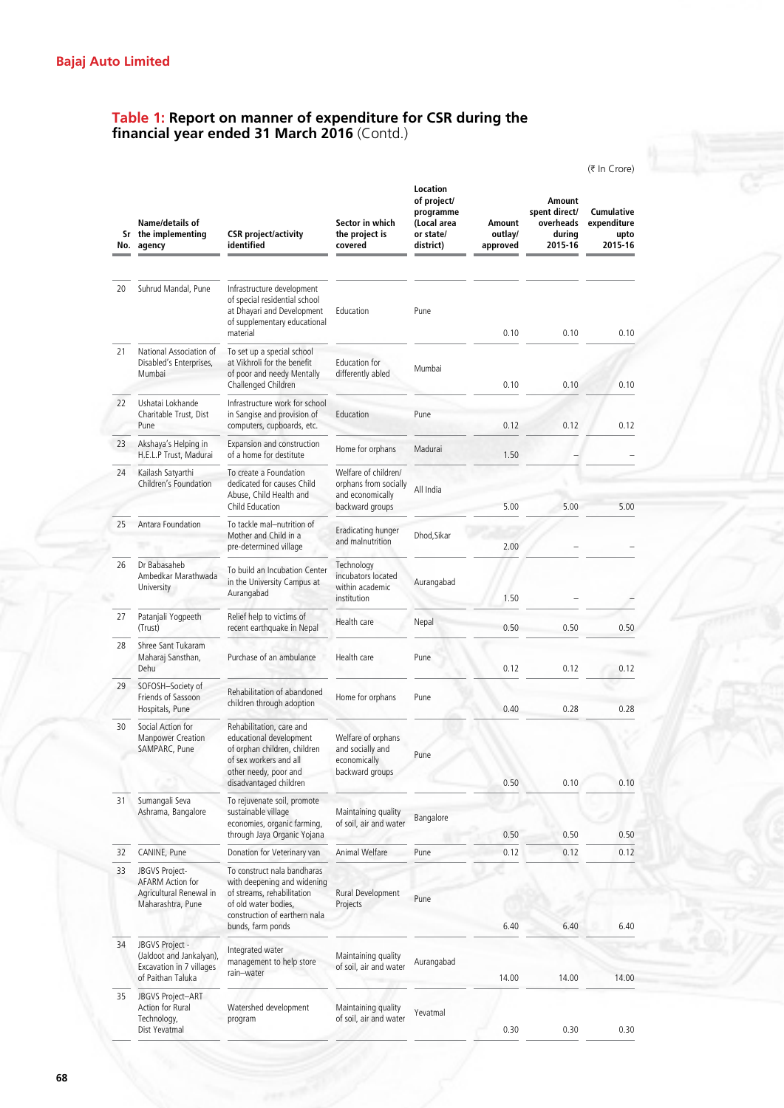# **Table 1: Report on manner of expenditure for CSR during the financial year ended 31 March 2016** (Contd.)

|     |                                                                                              |                                                                                                                                                                        |                                                                           |                                                                               |                               |                                                           | (₹ In Crore)                                        |
|-----|----------------------------------------------------------------------------------------------|------------------------------------------------------------------------------------------------------------------------------------------------------------------------|---------------------------------------------------------------------------|-------------------------------------------------------------------------------|-------------------------------|-----------------------------------------------------------|-----------------------------------------------------|
| No. | Name/details of<br>Sr the implementing<br>agency                                             | <b>CSR</b> project/activity<br>identified                                                                                                                              | Sector in which<br>the project is<br>covered                              | Location<br>of project/<br>programme<br>(Local area<br>or state/<br>district) | Amount<br>outlav/<br>approved | Amount<br>spent direct/<br>overheads<br>during<br>2015-16 | <b>Cumulative</b><br>expenditure<br>upto<br>2015-16 |
|     |                                                                                              |                                                                                                                                                                        |                                                                           |                                                                               |                               |                                                           |                                                     |
| 20  | Suhrud Mandal, Pune                                                                          | Infrastructure development<br>of special residential school<br>at Dhayari and Development<br>of supplementary educational<br>material                                  | Education                                                                 | Pune                                                                          | 0.10                          | 0.10                                                      | 0.10                                                |
| 21  | National Association of<br>Disabled's Enterprises,<br>Mumbai                                 | To set up a special school<br>at Vikhroli for the benefit<br>of poor and needy Mentally<br>Challenged Children                                                         | Education for<br>differently abled                                        | Mumbai                                                                        | 0.10                          | 0.10                                                      | 0.10                                                |
| 22  | Ushatai Lokhande<br>Charitable Trust, Dist<br>Pune                                           | Infrastructure work for school<br>in Sangise and provision of<br>computers, cupboards, etc.                                                                            | Education                                                                 | Pune                                                                          | 0.12                          | 0.12                                                      | 0.12                                                |
| 23  | Akshaya's Helping in<br>H.E.L.P Trust, Madurai                                               | Expansion and construction<br>of a home for destitute                                                                                                                  | Home for orphans                                                          | Madurai                                                                       | 1.50                          |                                                           |                                                     |
| 24  | Kailash Satyarthi<br>Children's Foundation                                                   | To create a Foundation<br>dedicated for causes Child<br>Abuse, Child Health and                                                                                        | Welfare of children/<br>orphans from socially<br>and economically         | All India                                                                     |                               |                                                           |                                                     |
|     |                                                                                              | Child Education                                                                                                                                                        | backward groups                                                           |                                                                               | 5.00                          | 5.00                                                      | 5.00                                                |
| 25  | Antara Foundation                                                                            | To tackle mal-nutrition of<br>Mother and Child in a<br>pre-determined village                                                                                          | Eradicating hunger<br>and malnutrition                                    | Dhod, Sikar                                                                   | 2.00                          |                                                           |                                                     |
| 26  | Dr Babasaheb<br>Ambedkar Marathwada<br>University                                            | To build an Incubation Center<br>in the University Campus at<br>Aurangabad                                                                                             | Technology<br>incubators located<br>within academic<br>institution        | Aurangabad                                                                    | 1.50                          |                                                           |                                                     |
| 27  | Patanjali Yogpeeth<br>(Trust)                                                                | Relief help to victims of<br>recent earthquake in Nepal                                                                                                                | Health care                                                               | Nepal                                                                         | 0.50                          | 0.50                                                      | 0.50                                                |
| 28  | Shree Sant Tukaram<br>Maharaj Sansthan,<br>Dehu                                              | Purchase of an ambulance                                                                                                                                               | Health care                                                               | Pune                                                                          | 0.12                          | 0.12                                                      | 0.12                                                |
| 29  | SOFOSH-Society of<br>Friends of Sassoon<br>Hospitals, Pune                                   | Rehabilitation of abandoned<br>children through adoption                                                                                                               | Home for orphans                                                          | Pune                                                                          | 0.40                          | 0.28                                                      | 0.28                                                |
| 30  | Social Action for<br><b>Manpower Creation</b><br>SAMPARC, Pune                               | Rehabilitation, care and<br>educational development<br>of orphan children, children<br>of sex workers and all<br>other needy, poor and<br>disadvantaged children       | Welfare of orphans<br>and socially and<br>economically<br>backward groups | Pune                                                                          | 0.50                          | 0.10                                                      | 0.10                                                |
| 31  | Sumangali Seva<br>Ashrama, Bangalore                                                         | To rejuvenate soil, promote<br>sustainable village<br>economies, organic farming,<br>through Jaya Organic Yojana                                                       | Maintaining quality<br>of soil, air and water                             | Bangalore                                                                     | 0.50                          | 0.50                                                      | 0.50                                                |
| 32  | CANINE, Pune                                                                                 | Donation for Veterinary van                                                                                                                                            | Animal Welfare                                                            | Pune                                                                          | 0.12                          | 0.12                                                      | 0.12                                                |
| 33  | JBGVS Project-<br>AFARM Action for<br>Agricultural Renewal in<br>Maharashtra, Pune           | To construct nala bandharas<br>with deepening and widening<br>of streams, rehabilitation<br>of old water bodies,<br>construction of earthern nala<br>bunds, farm ponds | Rural Development<br>Projects                                             | Pune                                                                          | 6.40                          | 6.40                                                      | 6.40                                                |
| 34  | JBGVS Project -<br>(Jaldoot and Jankalyan),<br>Excavation in 7 villages<br>of Paithan Taluka | Integrated water<br>management to help store<br>rain-water                                                                                                             | Maintaining quality<br>of soil, air and water                             | Aurangabad                                                                    | 14.00                         | 14.00                                                     | 14.00                                               |
| 35  | JBGVS Project-ART<br>Action for Rural<br>Technology,<br>Dist Yevatmal                        | Watershed development<br>program                                                                                                                                       | Maintaining quality<br>of soil, air and water                             | Yevatmal                                                                      | 0.30                          | 0.30                                                      | 0.30                                                |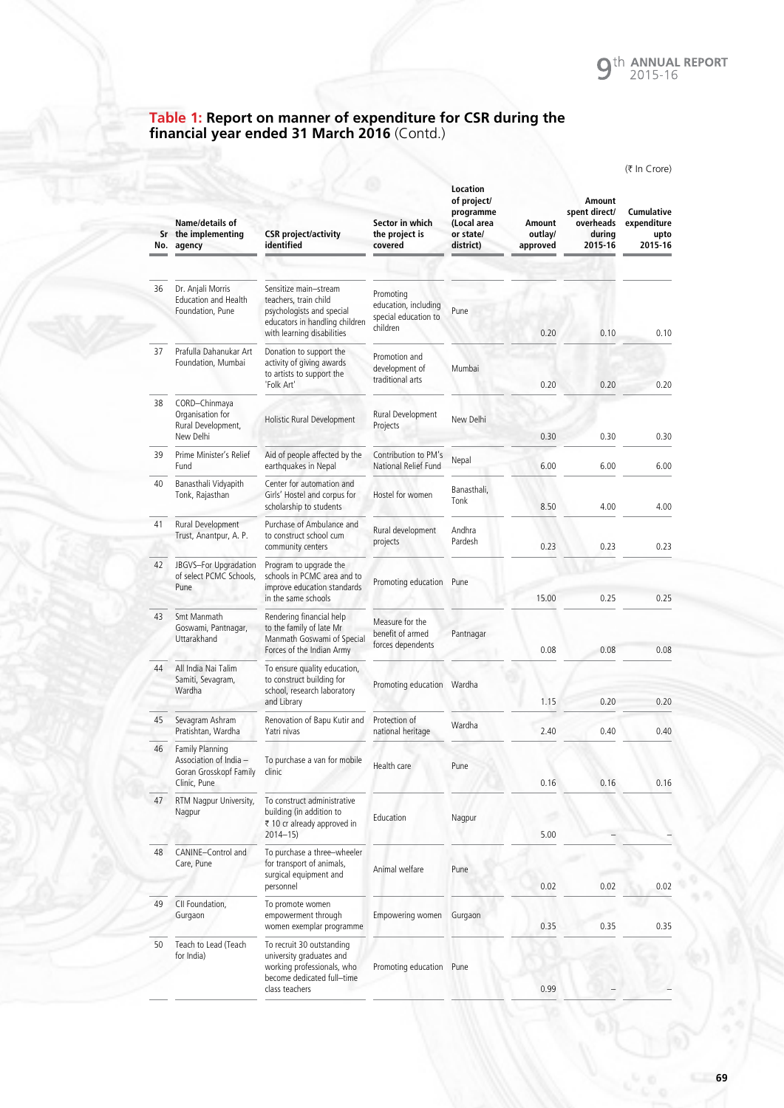#### **Table 1: Report on manner of expenditure for CSR during the financial year ended 31 March 2016** (Contd.)

|     |                                                                                            |                                                                                                                                             |                                                                       |                                                                               |                               |                                                           | (₹ In Crore)                                 |
|-----|--------------------------------------------------------------------------------------------|---------------------------------------------------------------------------------------------------------------------------------------------|-----------------------------------------------------------------------|-------------------------------------------------------------------------------|-------------------------------|-----------------------------------------------------------|----------------------------------------------|
| No. | Name/details of<br>Sr the implementing<br>agency                                           | <b>CSR</b> project/activity<br>identified                                                                                                   | Sector in which<br>the project is<br>covered                          | Location<br>of project/<br>programme<br>(Local area<br>or state/<br>district) | Amount<br>outlay/<br>approved | Amount<br>spent direct/<br>overheads<br>during<br>2015-16 | Cumulative<br>expenditure<br>upto<br>2015-16 |
|     |                                                                                            |                                                                                                                                             |                                                                       |                                                                               |                               |                                                           |                                              |
| 36  | Dr. Anjali Morris<br><b>Education and Health</b><br>Foundation, Pune                       | Sensitize main-stream<br>teachers, train child<br>psychologists and special<br>educators in handling children<br>with learning disabilities | Promoting<br>education, including<br>special education to<br>children | Pune                                                                          | 0.20                          | 0.10                                                      | 0.10                                         |
| 37  | Prafulla Dahanukar Art<br>Foundation, Mumbai                                               | Donation to support the<br>activity of giving awards<br>to artists to support the<br>'Folk Art'                                             | Promotion and<br>development of<br>traditional arts                   | Mumbai                                                                        | 0.20                          | 0.20                                                      | 0.20                                         |
| 38  | CORD-Chinmaya<br>Organisation for<br>Rural Development,<br>New Delhi                       | Holistic Rural Development                                                                                                                  | Rural Development<br>Projects                                         | New Delhi                                                                     | 0.30                          | 0.30                                                      | 0.30                                         |
| 39  | Prime Minister's Relief<br>Fund                                                            | Aid of people affected by the<br>earthquakes in Nepal                                                                                       | Contribution to PM's<br>National Relief Fund                          | Nepal                                                                         | 6.00                          | 6.00                                                      | 6.00                                         |
| 40  | Banasthali Vidyapith<br>Tonk, Rajasthan                                                    | Center for automation and<br>Girls' Hostel and corpus for<br>scholarship to students                                                        | Hostel for women                                                      | Banasthali.<br>Tonk                                                           | 8.50                          | 4.00                                                      | 4.00                                         |
| 41  | Rural Development<br>Trust, Anantpur, A. P.                                                | Purchase of Ambulance and<br>to construct school cum<br>community centers                                                                   | Rural development<br>projects                                         | Andhra<br>Pardesh                                                             | 0.23                          | 0.23                                                      | 0.23                                         |
| 42  | JBGVS-For Upgradation<br>of select PCMC Schools,<br>Pune                                   | Program to upgrade the<br>schools in PCMC area and to<br>improve education standards                                                        | Promoting education                                                   | Pune                                                                          |                               |                                                           |                                              |
| 43  | Smt Manmath<br>Goswami, Pantnagar,<br>Uttarakhand                                          | in the same schools<br>Rendering financial help<br>to the family of late Mr<br>Manmath Goswami of Special<br>Forces of the Indian Army      | Measure for the<br>benefit of armed<br>forces dependents              | Pantnagar                                                                     | 15.00<br>0.08                 | 0.25<br>0.08                                              | 0.25<br>0.08                                 |
| 44  | All India Nai Talim<br>Samiti, Sevagram,<br>Wardha                                         | To ensure quality education,<br>to construct building for<br>school, research laboratory<br>and Library                                     | Promoting education Wardha                                            |                                                                               | 1.15                          | 0.20                                                      | 0.20                                         |
| 45  | Sevagram Ashram<br>Pratishtan, Wardha                                                      | Renovation of Bapu Kutir and<br>Yatri nivas                                                                                                 | Protection of<br>national heritage                                    | Wardha                                                                        | 2.40                          | 0.40                                                      | 0.40                                         |
| 46  | <b>Family Planning</b><br>Association of India -<br>Goran Grosskopf Family<br>Clinic, Pune | To purchase a van for mobile<br>clinic                                                                                                      | Health care                                                           | Pune                                                                          | 0.16                          | 0.16                                                      | 0.16                                         |
| 47  | RTM Nagpur University,<br>Nagpur                                                           | To construct administrative<br>building (in addition to<br>₹ 10 cr already approved in<br>$2014 - 15$                                       | Education                                                             | Nagpur                                                                        | 5.00                          |                                                           |                                              |
| 48  | CANINE-Control and<br>Care, Pune                                                           | To purchase a three-wheeler<br>for transport of animals,<br>surgical equipment and<br>personnel                                             | Animal welfare                                                        | Pune                                                                          | 0.02                          | 0.02                                                      | 0.02                                         |
| 49  | CII Foundation,<br>Gurgaon                                                                 | To promote women<br>empowerment through<br>women exemplar programme                                                                         | Empowering women                                                      | Gurgaon                                                                       | 0.35                          | 0.35                                                      | 0.35                                         |
| 50  | Teach to Lead (Teach<br>for India)                                                         | To recruit 30 outstanding<br>university graduates and<br>working professionals, who<br>become dedicated full-time<br>class teachers         | Promoting education                                                   | Pune                                                                          | 0.99                          |                                                           |                                              |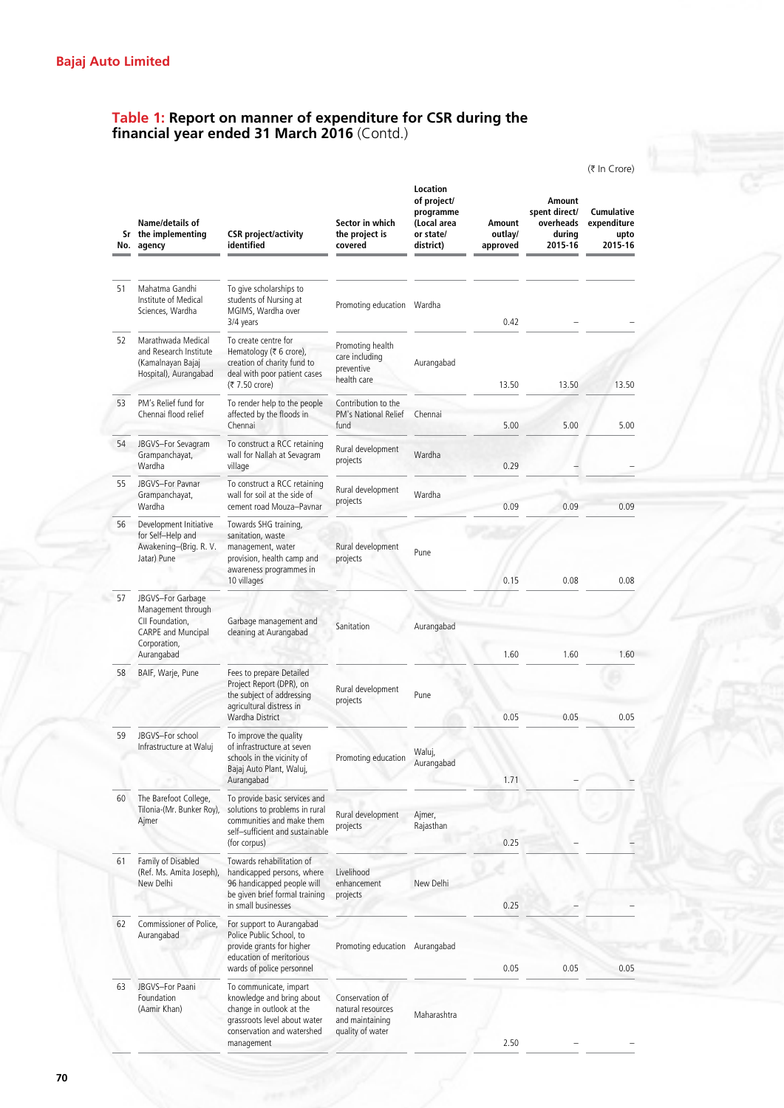# **Table 1: Report on manner of expenditure for CSR during the financial year ended 31 March 2016** (Contd.)

|    |                                                                                            |                                                                                                                                                             |                                                                             |                                                                               |                               |                                                           | (₹ In Crore)                                        |
|----|--------------------------------------------------------------------------------------------|-------------------------------------------------------------------------------------------------------------------------------------------------------------|-----------------------------------------------------------------------------|-------------------------------------------------------------------------------|-------------------------------|-----------------------------------------------------------|-----------------------------------------------------|
|    | Name/details of<br>Sr the implementing<br>No. agency                                       | <b>CSR</b> project/activity<br>identified                                                                                                                   | Sector in which<br>the project is<br>covered                                | Location<br>of project/<br>programme<br>(Local area<br>or state/<br>district) | Amount<br>outlay/<br>approved | Amount<br>spent direct/<br>overheads<br>durina<br>2015-16 | <b>Cumulative</b><br>expenditure<br>upto<br>2015-16 |
|    |                                                                                            |                                                                                                                                                             |                                                                             |                                                                               |                               |                                                           |                                                     |
| 51 | Mahatma Gandhi<br>Institute of Medical<br>Sciences, Wardha                                 | To give scholarships to<br>students of Nursing at<br>MGIMS, Wardha over<br>3/4 years                                                                        | Promoting education Wardha                                                  |                                                                               | 0.42                          |                                                           |                                                     |
| 52 | Marathwada Medical<br>and Research Institute<br>(Kamalnayan Bajaj<br>Hospital), Aurangabad | To create centre for<br>Hematology (₹ 6 crore),<br>creation of charity fund to<br>deal with poor patient cases<br>(₹ 7.50 crore)                            | Promoting health<br>care including<br>preventive<br>health care             | Aurangabad                                                                    | 13.50                         | 13.50                                                     | 13.50                                               |
| 53 | PM's Relief fund for<br>Chennai flood relief                                               | To render help to the people<br>affected by the floods in<br>Chennai                                                                                        | Contribution to the<br>PM's National Relief<br>fund                         | Chennai                                                                       | 5.00                          | 5.00                                                      | 5.00                                                |
| 54 | JBGVS-For Sevagram<br>Grampanchayat,<br>Wardha                                             | To construct a RCC retaining<br>wall for Nallah at Sevagram<br>village                                                                                      | Rural development<br>projects                                               | Wardha                                                                        | 0.29                          |                                                           |                                                     |
| 55 | JBGVS-For Pavnar<br>Grampanchayat,<br>Wardha                                               | To construct a RCC retaining<br>wall for soil at the side of<br>cement road Mouza-Pavnar                                                                    | Rural development<br>projects                                               | Wardha                                                                        | 0.09                          | 0.09                                                      | 0.09                                                |
| 56 | Development Initiative<br>for Self-Help and<br>Awakening-(Brig. R. V.<br>Jatar) Pune       | Towards SHG training,<br>sanitation, waste<br>management, water<br>provision, health camp and<br>awareness programmes in<br>10 villages                     | Rural development<br>projects                                               | Pune                                                                          | 0.15                          | 0.08                                                      | 0.08                                                |
| 57 | JBGVS-For Garbage                                                                          |                                                                                                                                                             |                                                                             |                                                                               |                               |                                                           |                                                     |
|    | Management through<br>CII Foundation,<br>CARPE and Muncipal<br>Corporation,<br>Aurangabad  | Garbage management and<br>cleaning at Aurangabad                                                                                                            | Sanitation                                                                  | Aurangabad                                                                    | 1.60                          | 1.60                                                      | 1.60                                                |
| 58 | BAIF, Warje, Pune                                                                          | Fees to prepare Detailed<br>Project Report (DPR), on<br>the subject of addressing<br>agricultural distress in<br>Wardha District                            | Rural development<br>projects                                               | Pune                                                                          | 0.05                          | 0.05                                                      | 0.05                                                |
| 59 | JBGVS-For school<br>Infrastructure at Waluj                                                | To improve the quality<br>of infrastructure at seven<br>schools in the vicinity of<br>Bajaj Auto Plant, Waluj,<br>Aurangabad                                | Promoting education                                                         | Waluj,<br>Aurangabad                                                          | 1.71                          |                                                           |                                                     |
| 60 | The Barefoot College,<br>Tilonia-(Mr. Bunker Roy),<br>Ajmer                                | To provide basic services and<br>solutions to problems in rural<br>communities and make them<br>self-sufficient and sustainable<br>(for corpus)             | Rural development<br>projects                                               | Ajmer,<br>Rajasthan                                                           | 0.25                          |                                                           |                                                     |
| 61 | Family of Disabled<br>(Ref. Ms. Amita Joseph),<br>New Delhi                                | Towards rehabilitation of<br>handicapped persons, where<br>96 handicapped people will<br>be given brief formal training<br>in small businesses              | Livelihood<br>enhancement<br>projects                                       | New Delhi                                                                     | 0.25                          |                                                           |                                                     |
| 62 | Commissioner of Police,<br>Aurangabad                                                      | For support to Aurangabad<br>Police Public School, to<br>provide grants for higher<br>education of meritorious<br>wards of police personnel                 | Promoting education Aurangabad                                              |                                                                               | 0.05                          | 0.05                                                      | 0.05                                                |
| 63 | JBGVS-For Paani<br>Foundation<br>(Aamir Khan)                                              | To communicate, impart<br>knowledge and bring about<br>change in outlook at the<br>grassroots level about water<br>conservation and watershed<br>management | Conservation of<br>natural resources<br>and maintaining<br>quality of water | Maharashtra                                                                   | 2.50                          |                                                           |                                                     |